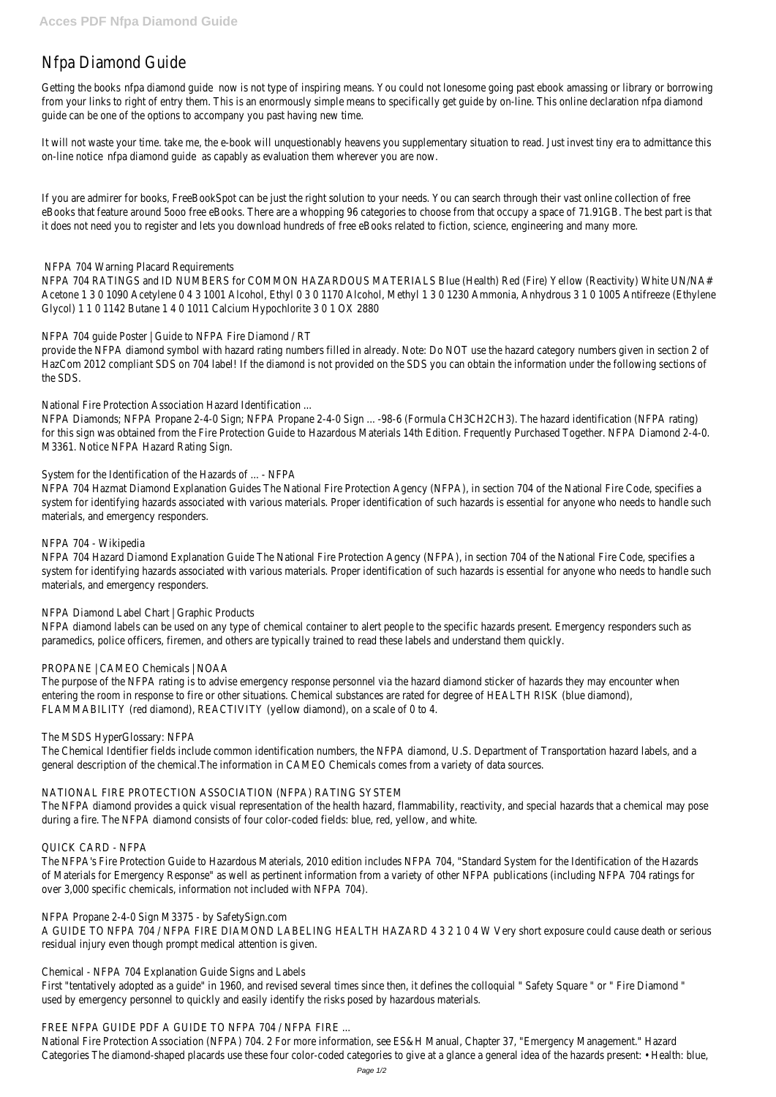# Nfpa Diamond Guide

Getting the books a diamond guidew is not type of inspiring means. You could not lonesome going past ebook amassing or library from your links to right of entry them. This is an enormously simple means to specifically get guide by on-line. This online declaration nfrom new type diamonds of the manner of the manner of the manner of the manner of th guide can be one of the options to accompany you past having new time.

It will not waste your time. take me, the e-book will unquestionably heavens you supplementary situation to read. Just invest tiny on-line notice foa diamond guide capably as evaluation them wherever you are now.

If you are admirer for books, FreeBookSpot can be just the right solution to your needs. You can search through their vast online eBooks that feature around 5000 free eBooks. There are a whopping 96 categories to choose from that occupy a space of 71.91 it does not need you to register and lets you download hundreds of free eBooks related to fiction, science, engineering and many

NFPA 704 RATINGS and ID NUMBERS for COMMON HAZARDOUS MATERIALS Blue (Health) Red (Fire) Yellow (Reactivity) White UN/I Acetone 1 3 0 1090 Acetylene 0 4 3 1001 Alcohol, Ethyl 0 3 0 1170 Alcohol, Methyl 1 3 0 1230 Ammonia, Anhydrous 3 1 0 100 Glycol) 1 1 0 1142 Butane 1 4 0 1011 Calcium Hypochlorite 3 0 1 OX 2880

provide the NFPA diamond symbol with hazard rating numbers filled in already. Note: Do NOT use the hazard category numbers given HazCom 2012 compliant SDS on 704 label! If the diamond is not provided on the SDS you can obtain the information under the formation the SDS.

NFPA Diamonds; NFPA Propane 2-4-0 Sign; NFPA Propane 2-4-0 Sign ... -98-6 (Formula CH3CH2CH3). The hazard identification (N for this sign was obtained from the Fire Protection Guide to Hazardous Materials 14th Edition. Frequently Purchased Together. N M3361. Notice NFPA Hazard Rating Sign.

## NFPA 704 Warning Placard Requirements

NFPA 704 Hazmat Diamond Explanation Guides The National Fire Protection Agency (NFPA), in section 704 of the National Fire Co system for identifying hazards associated with various materials. Proper identification of such hazards is essential for anyone wh materials, and emergency responders.

NFPA 704 Hazard Diamond Explanation Guide The National Fire Protection Agency (NFPA), in section 704 of the National Fire Code system for identifying hazards associated with various materials. Proper identification of such hazards is essential for anyone wh materials, and emergency responders.

## NFPA 704 guide Poster | Guide to NFPA Fire Diamond / RT

NFPA diamond labels can be used on any type of chemical container to alert people to the specific hazards present. Emergency re paramedics, police officers, firemen, and others are typically trained to read these labels and understand them quickly.

The purpose of the NFPA rating is to advise emergency response personnel via the hazard diamond sticker of hazards they may e entering the room in response to fire or other situations. Chemical substances are rated for degree of HEALTH RISK (blue diamon FLAMMABILITY (red diamond), REACTIVITY (yellow diamond), on a scale of 0 to 4.

National Fire Protection Association Hazard Identification ...

The Chemical Identifier fields include common identification numbers, the NFPA diamond, U.S. Department of Transportation hazard general description of the chemical.The information in CAMEO Chemicals comes from a variety of data sources.

The NFPA diamond provides a quick visual representation of the health hazard, flammability, reactivity, and special hazards that a during a fire. The NFPA diamond consists of four color-coded fields: blue, red, yellow, and white.

System for the Identification of the Hazards of ... - NFPA

The NFPA's Fire Protection Guide to Hazardous Materials, 2010 edition includes NFPA 704, "Standard System for the Identification of Materials for Emergency Response" as well as pertinent information from a variety of other NFPA publications (including NFPA over 3,000 specific chemicals, information not included with NFPA 704).

A GUIDE TO NFPA 704 / NFPA FIRE DIAMOND LABELING HEALTH HAZARD 4 3 2 1 0 4 W Very short exposure could cause death or residual injury even though prompt medical attention is given.

First "tentatively adopted as a guide" in 1960, and revised several times since then, it defines the colloquial "Safety Square " or " used by emergency personnel to quickly and easily identify the risks posed by hazardous materials.

## NFPA 704 - Wikipedia

## NFPA Diamond Label Chart | Graphic Products

## PROPANE | CAMEO Chemicals | NOAA

## The MSDS HyperGlossary: NFPA

## NATIONAL FIRE PROTECTION ASSOCIATION (NFPA) RATING SYSTEM

#### QUICK CARD - NFPA

#### NFPA Propane 2-4-0 Sign M3375 - by SafetySign.com

Chemical - NFPA 704 Explanation Guide Signs and Labels

#### FREE NFPA GUIDE PDF A GUIDE TO NFPA 704 / NFPA FIRE ...

National Fire Protection Association (NFPA) 704. 2 For more information, see ES&H Manual, Chapter 37, "Emergency Management Categories The diamond-shaped placards use these four color-coded categories to give at a glance a general idea of the hazards